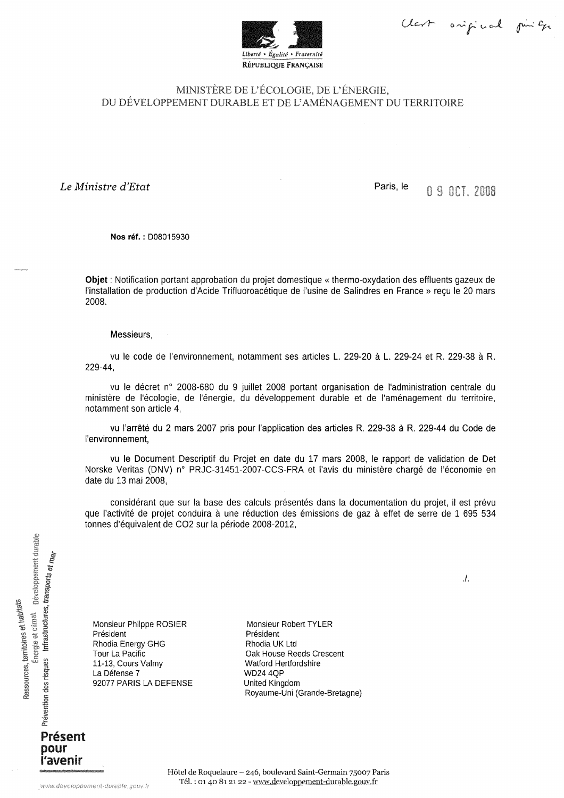Clark onifical pinter



## MINISTÈRE DE L'ÉCOLOGIE, DE L'ÉNERGIE, DU DÉVELOPPEMENT DURABLE ET DE L'AMÉNAGEMENT DU TERRITOIRE

Le Ministre d'Etat

Paris, le 09001.2008

Nos réf.: D08015930

Objet : Notification portant approbation du projet domestique « thermo-oxydation des effluents gazeux de l'installation de production d'Acide Trifluoroacétique de l'usine de Salindres en France » reçu le 20 mars 2008.

## Messieurs.

vu le code de l'environnement, notamment ses articles L. 229-20 à L. 229-24 et R. 229-38 à R. 229-44,

vu le décret n° 2008-680 du 9 juillet 2008 portant organisation de l'administration centrale du ministère de l'écologie, de l'énergie, du développement durable et de l'aménagement du territoire, notamment son article 4,

vu l'arrêté du 2 mars 2007 pris pour l'application des articles R. 229-38 à R. 229-44 du Code de l'environnement.

vu le Document Descriptif du Projet en date du 17 mars 2008, le rapport de validation de Det Norske Veritas (DNV) n° PRJC-31451-2007-CCS-FRA et l'avis du ministère chargé de l'économie en date du 13 mai 2008,

considérant que sur la base des calculs présentés dans la documentation du projet, il est prévu que l'activité de projet conduira à une réduction des émissions de gaz à effet de serre de 1 695 534 tonnes d'équivalent de CO2 sur la période 2008-2012,

Énergie et climat<br>
péveloppement durable Prévention des risques Infrastructures, transports et m<sub>êr</sub> Ressources, territoires et habitats Présent

> pour l'avenir

Monsieur Philppe ROSIER Président **Rhodia Energy GHG** Tour La Pacific 11-13, Cours Valmy La Défense 7 92077 PARIS LA DEFENSE

Monsieur Robert TYLER Président Rhodia UK Ltd Oak House Reeds Crescent Watford Hertfordshire **WD24 4OP** United Kingdom Royaume-Uni (Grande-Bretagne)  $\Lambda$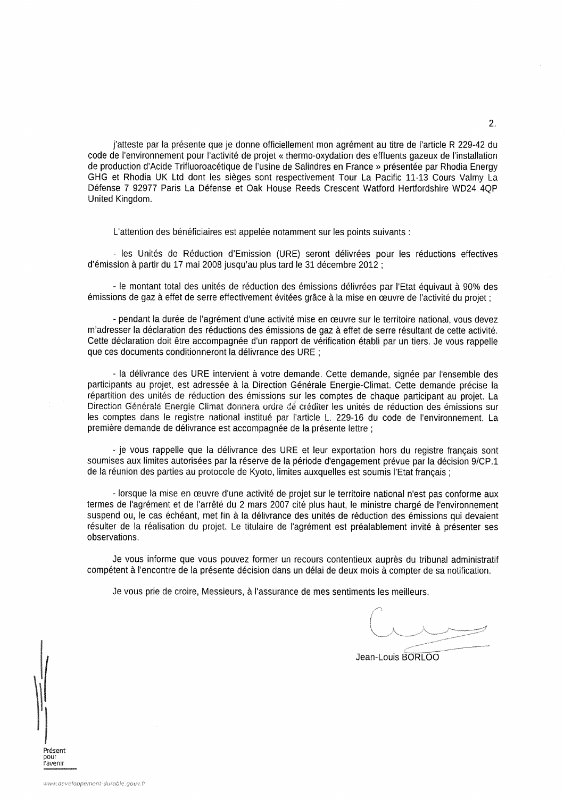j'atteste par la présente que je donne officiellement mon agrément au titre de l'article R 229-42 du code de l'environnement pour l'activité de projet « thermo-oxydation des effluents gazeux de l'installation de production d'Acide Trifluoroacétique de l'usine de Salindres en France » présentée par Rhodia Energy GHG et Rhodia UK Ltd dont les sièges sont respectivement Tour La Pacific 11-13 Cours Valmy La Défense 7 92977 Paris La Défense et Oak House Reeds Crescent Watford Hertfordshire WD24 4OP United Kingdom.

L'attention des bénéficiaires est appelée notamment sur les points suivants :

- les Unités de Réduction d'Emission (URE) seront délivrées pour les réductions effectives d'émission à partir du 17 mai 2008 jusqu'au plus tard le 31 décembre 2012 ;

- le montant total des unités de réduction des émissions délivrées par l'Etat équivaut à 90% des émissions de gaz à effet de serre effectivement évitées grâce à la mise en œuvre de l'activité du projet :

- pendant la durée de l'agrément d'une activité mise en œuvre sur le territoire national, vous devez m'adresser la déclaration des réductions des émissions de gaz à effet de serre résultant de cette activité. Cette déclaration doit être accompagnée d'un rapport de vérification établi par un tiers. Je vous rappelle que ces documents conditionneront la délivrance des URE :

- la délivrance des URE intervient à votre demande. Cette demande, signée par l'ensemble des participants au projet, est adressée à la Direction Générale Energie-Climat. Cette demande précise la répartition des unités de réduction des émissions sur les comptes de chaque participant au projet. La Direction Générale Energie Climat donnera ordre de créditer les unités de réduction des émissions sur les comptes dans le registre national institué par l'article L. 229-16 du code de l'environnement. La première demande de délivrance est accompagnée de la présente lettre :

- je vous rappelle que la délivrance des URE et leur exportation hors du registre francais sont soumises aux limites autorisées par la réserve de la période d'engagement prévue par la décision 9/CP.1 de la réunion des parties au protocole de Kyoto, limites auxquelles est soumis l'Etat français ;

- lorsque la mise en œuvre d'une activité de projet sur le territoire national n'est pas conforme aux termes de l'agrément et de l'arrêté du 2 mars 2007 cité plus haut, le ministre chargé de l'environnement suspend ou, le cas échéant, met fin à la délivrance des unités de réduction des émissions qui devaient résulter de la réalisation du projet. Le titulaire de l'agrément est préalablement invité à présenter ses observations.

Je vous informe que vous pouvez former un recours contentieux auprès du tribunal administratif compétent à l'encontre de la présente décision dans un délai de deux mois à compter de sa notification.

Je vous prie de croire, Messieurs, à l'assurance de mes sentiments les meilleurs.

Jean-Louis BORLOO

Présent กณะ l'avenir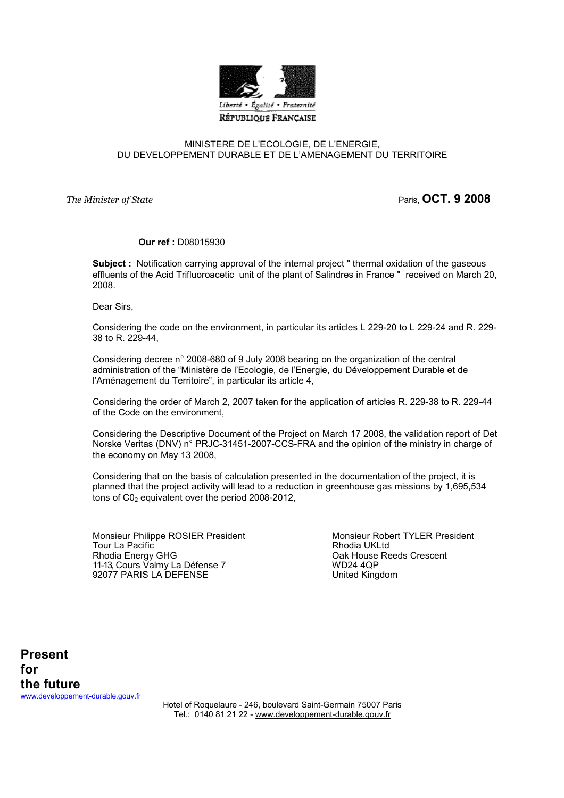

## MINISTERE DE L'ECOLOGIE, DE L'ENERGIE, DU DEVELOPPEMENT DURABLE ET DE L'AMENAGEMENT DU TERRITOIRE

The Minister of State **Paris**, OCT. 9 2008

## Our ref : D08015930

Subject : Notification carrying approval of the internal project " thermal oxidation of the gaseous effluents of the Acid Trifluoroacetic unit of the plant of Salindres in France " received on March 20, 2008.

Dear Sirs,

Considering the code on the environment, in particular its articles L 229-20 to L 229-24 and R. 229- 38 to R. 229-44,

Considering decree n° 2008-680 of 9 July 2008 bearing on the organization of the central administration of the "Ministère de l'Ecologie, de l'Energie, du Développement Durable et de l'Aménagement du Territoire", in particular its article 4,

Considering the order of March 2, 2007 taken for the application of articles R. 229-38 to R. 229-44 of the Code on the environment,

Considering the Descriptive Document of the Project on March 17 2008, the validation report of Det Norske Veritas (DNV) n° PRJC-31451-2007-CCS-FRA and the opinion of the ministry in charge of the economy on May 13 2008,

Considering that on the basis of calculation presented in the documentation of the project, it is planned that the project activity will lead to a reduction in greenhouse gas missions by 1,695,534 tons of  $CO<sub>2</sub>$  equivalent over the period 2008-2012,

Monsieur Philippe ROSIER President Monsieur Robert TYLER President<br>Tour La Pacific Tour La Pacific<br>Rhodia Energy GHG 11-13, Cours Valmy La Défense 7 WD24 4QP<br>192077 PARIS LA DEFENSE 1920 WORKER Management 92077 PARIS LA DEFENSE

Oak House Reeds Crescent<br>WD24 4QP

Present for the future www.developpement-durable.gouv.fr

Hotel of Roquelaure - 246, boulevard Saint-Germain 75007 Paris Tel.: 0140 81 21 22 - www.developpement-durable.gouv.fr